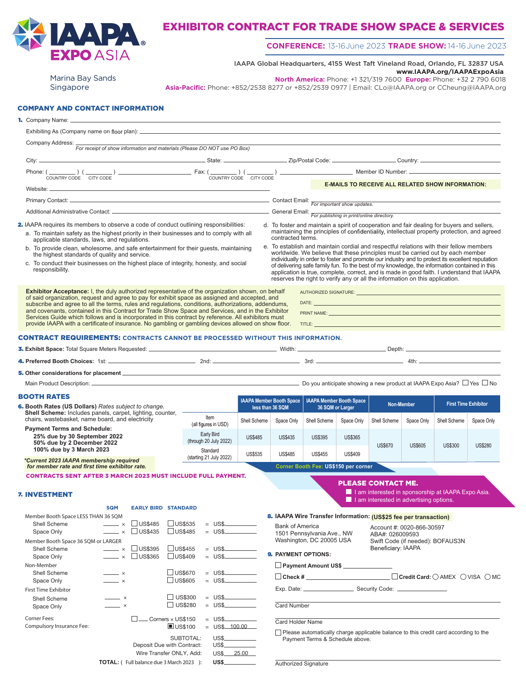

## EXHIBITOR CONTRACT FOR TRADE SHOW SPACE & SERVICES

## **CONFERENCE:** 13-16 June 2023 **TRADE SHOW:** 14-16 June 2023

IAAPA Global Headquarters, 4155 West Taft Vineland Road, Orlando, FL 32837 USA **www.IAAPA.org/IAAPAExpoAsia**

Marina Bay Sands Singapore

**North America:** Phone: +1 321/319 7600 **Europe:** Phone: +32 2 790 6018

**Asia-Pacific:** Phone: +852/2538 8277 or +852/2539 0977 | Email: CLo@IAAPA.org or CCheung@IAAPA.org

### COMPANY AND CONTACT INFORMATION

| 1. Company Name: __                           |
|-----------------------------------------------|
| Exhibiting As (Company name on floor plan): _ |

7. INVESTMENT

**Member Booth Space LESS THAN 36 SQM**

| For receipt of show information and materials (Please DO NOT use PO Box)                                                                 |  |                                                                                                                                                                                                                                                                                              |
|------------------------------------------------------------------------------------------------------------------------------------------|--|----------------------------------------------------------------------------------------------------------------------------------------------------------------------------------------------------------------------------------------------------------------------------------------------|
|                                                                                                                                          |  |                                                                                                                                                                                                                                                                                              |
| Phone: $(\_\_\_\_)$ ( $\_\_\_\_)$ ) $\_\_\_\_\_$ Fax: $(\_\_\_\_)$ ( $\_\_\_\_)$                                                         |  |                                                                                                                                                                                                                                                                                              |
| COUNTRY CODE CITY CODE<br>COUNTRY CODE<br>CITY CODE                                                                                      |  | <b>E-MAILS TO RECEIVE ALL RELATED SHOW INFORMATION:</b>                                                                                                                                                                                                                                      |
|                                                                                                                                          |  |                                                                                                                                                                                                                                                                                              |
|                                                                                                                                          |  |                                                                                                                                                                                                                                                                                              |
| 2. IAAPA requires its members to observe a code of conduct outlining responsibilities:                                                   |  | d. To foster and maintain a spirit of cooperation and fair dealing for buyers and sellers,                                                                                                                                                                                                   |
| a. To maintain safety as the highest priority in their businesses and to comply with all<br>applicable standards, laws, and regulations. |  | maintaining the principles of confidentiality, intellectual property protection, and agreed<br>contracted terms.                                                                                                                                                                             |
| b. To provide clean, wholesome, and safe entertainment for their quests, maintaining<br>the highest standards of quality and service.    |  | e. To establish and maintain cordial and respectful relations with their fellow members<br>worldwide. We believe that these principles must be carried out by each member                                                                                                                    |
| c. To conduct their businesses on the highest place of integrity, honesty, and social<br>responsibility.                                 |  | individually in order to foster and promote our industry and to protect its excellent reputation<br>of delivering safe family fun. To the best of my knowledge, the information contained in this<br>annicotion is true, complete, correct, and is made in good faith Lunderstand that LAAPA |

**Exhibitor Acceptance:** I, the duly authorized representative of the organization shown, on behalf of said organization, request and agree to pay for exhibit space as assigned and accepted, and subscribe and agree to all the terms, rules and regulations, conditions, authorizations, addendums, and covenants, contained in this Contract for Trade Show Space and Services, and in the Exhibitor Services Guide which follows and is incorporated in this contract by reference. All exhibitors must provide IAAPA with a certificate of insurance. No gambling or gambling devices allowed on show floor.

of delivering safe family fun. To the best of my knowledge, the information contained in this application is true, complete, correct, and is made in good faith. I understand that IAAPA reserves the right to verify any or all the information on this application. AUTHORIZED SIGNATURE: DATE:

```
PRINT NAME:
```
TITLE:

#### CONTRACT REQUIREMENTS: **CONTRACTS CANNOT BE PROCESSED WITHOUT THIS INFORMATION**.

| 3. Exhibit Space: Total Square Meters Requested: _ |      | Width: | Depth: $\equiv$                                                                  |
|----------------------------------------------------|------|--------|----------------------------------------------------------------------------------|
| 4. Preferred Booth Choices: 1st: _____             | 2nd. | 3rd    | 4th:                                                                             |
| 5. Other considerations for placement _            |      |        |                                                                                  |
| Main Product Description: __                       |      |        | Do you anticipate showing a new product at IAAPA Expo Asia? $\Box$ Yes $\Box$ No |

| <b>BOOTH RATES</b><br><b>6.</b> Booth Rates (US Dollars) Rates subject to change.                             |                                      |                | <b>IAAPA Member Booth Space</b><br>less than 36 SQM |                                      | <b>IAAPA Member Booth Space</b><br>36 SQM or Larger |                                  | Non-Member |                | <b>First Time Exhibitor</b> |  |
|---------------------------------------------------------------------------------------------------------------|--------------------------------------|----------------|-----------------------------------------------------|--------------------------------------|-----------------------------------------------------|----------------------------------|------------|----------------|-----------------------------|--|
| Shell Scheme: Includes panels, carpet, lighting, counter,<br>chairs, wastebasket, name board, and electricity | Item<br>(all figures in USD)         | Shell Scheme   | Space Only                                          | Shell Scheme                         | Space Only                                          | Shell Scheme                     | Space Only | Shell Scheme   | Space Only                  |  |
| <b>Payment Terms and Schedule:</b><br>25% due by 30 September 2022<br>50% due by 2 December 2022              | Early Bird<br>(through 20 July 2022) | <b>US\$485</b> | <b>US\$435</b>                                      | <b>US\$395</b>                       | <b>US\$365</b>                                      |                                  |            |                |                             |  |
| 100% due by 3 March 2023<br>*Current 2023 IAAPA membership required                                           | Standard<br>(starting 21 July 2022)  | <b>US\$535</b> | <b>US\$485</b>                                      | <b>US\$455</b>                       | <b>US\$409</b>                                      | <b>US\$670</b><br><b>US\$605</b> |            | <b>US\$300</b> | <b>US\$280</b>              |  |
| for member rate and first time exhibitor rate.                                                                |                                      |                |                                                     | Corner Booth Fee: US\$150 per corner |                                                     |                                  |            |                |                             |  |

CONTRACTS SENT AFTER 3 MARCH 2023 MUST INCLUDE FULL PAYMENT.

### PLEASE CONTACT ME.

I I am interested in sponsorship at IAAPA Expo Asia. I I am interested in advertising options.

Swift Code (if needed): BOFAUS3N

Account #: 0020-866-30597 ABA#: 026009593

| 8. IAAPA Wire Transfer Information: (US\$25 fee per transaction) |  |
|------------------------------------------------------------------|--|
|                                                                  |  |

| Shell Scheme                        | $\times$                          | $\Box$ US\$485 | <b>US\$535</b>                                 |     | $=$ US\$.<br><b>Contract</b>  |
|-------------------------------------|-----------------------------------|----------------|------------------------------------------------|-----|-------------------------------|
| Space Only                          | $\times$                          | $\Box$ US\$435 | $\Box$ US\$485                                 |     | $=$ US\$                      |
| Member Booth Space 36 SQM or LARGER |                                   |                |                                                |     |                               |
| Shell Scheme                        | $\times$                          | <b>US\$395</b> | $\bigcup$ US\$455                              |     | $=$ US\$<br><b>Contractor</b> |
| Space Only                          | $\times$                          | US\$365        | US\$409                                        |     | $=$ US\$                      |
| Non-Member                          |                                   |                |                                                |     |                               |
| Shell Scheme                        | $\overline{\phantom{1}}$ x        |                | $\Box$ US\$670                                 |     | $=$ US\$                      |
| Space Only                          | $\overline{\phantom{1}}$ $\times$ |                | □ US\$605                                      |     | $=$ US\$                      |
| <b>First Time Exhibitor</b>         |                                   |                |                                                |     |                               |
| Shell Scheme                        | $\overline{\phantom{a}}$ $\times$ |                | US\$300                                        |     | $=$ US\$                      |
| Space Only                          | $\overline{\phantom{1}}$ $\times$ |                | US\$280                                        | $=$ | $\overline{\text{USS}}$       |
| Corner Fees:                        |                                   |                | Corners $\times$ US\$150                       |     | $=$ US\$                      |
| Compulsory Insurance Fee:           |                                   |                | $\blacksquare$ US\$100                         | $=$ | US\$ 100.00                   |
|                                     |                                   |                | SUBTOTAL:                                      |     | <b>US\$</b>                   |
|                                     |                                   |                | Deposit Due with Contract:                     |     | US\$ <sub>-</sub>             |
|                                     |                                   |                | Wire Transfer ONLY, Add:                       |     | 25.00<br><b>US\$.</b>         |
|                                     |                                   |                | <b>TOTAL:</b> (Full balance due 3 March 2023): |     | US\$.                         |

**SQM EARLY BIRD STANDARD** 

| Exp. Date: _ | Security Code: ____ |
|--------------|---------------------|
|              |                     |
| Card Number  |                     |

**Check # Credit Card:** AMEX VISA MC

Beneficiary: IAAPA

Card Holder Name

9. **PAYMENT OPTIONS: Payment Amount US\$**

Bank of America

1501 Pennsylvania Ave., NW Washington, DC 20005 USA

Please automatically charge applicable balance to this credit card according to the Payment Terms & Schedule above.

Authorized Signature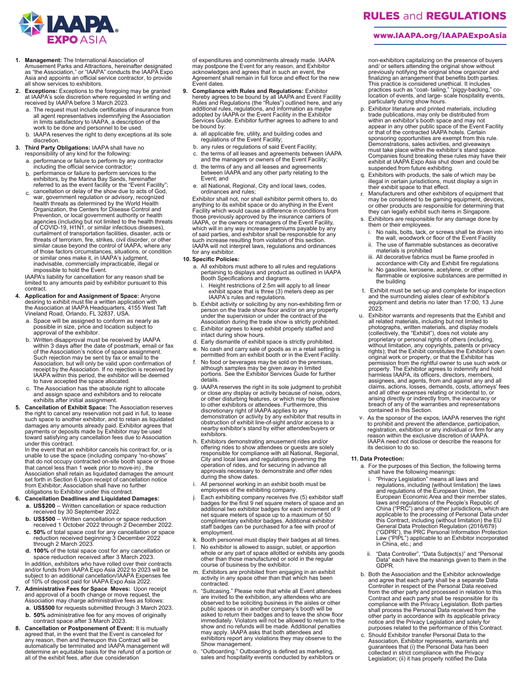

- **1. Management:** The International Association of<br>Amusement Parks and Attractions, hereinafter designated<br>as "the Association," or "IAAPA" conducts the IAAPA Expo<br>Asia and appoints an official service contractor, to provid all show services to exhibitors.
- **2. Exceptions:** Exceptions to the foregoing may be granted at IAAPA's sole discretion where requested in writing and received by IAAPA before 3 March 2023.
	- a. The request must include certificates of insurance from all agent representatives indemnifying the Association in limits satisfactory to IAAPA, a description of the work to be done and personnel to be used.
	- b. IAAPA reserves the right to deny exceptions at its sole discretion.
- **3. Third Party Obligations:** IAAPA shall have no responsibility of any kind for the following:
	- a. performance or failure to perform by any contractor
	- b. including the official service contractor; performance or failure to perform services to the exhibitors, by the Marina Bay Sands, hereinafter
	- c. referred to as the event facility or the "Event Facility";<br>cancellation or delay of the show due to acts of God,<br>war, government regulation or advisory, recognized<br>health threats as determined by the World Health<br>Organizat Prevention, or local government authority or health agencies (including but not limited to the health threats of COVID-19, H1N1, or similar infectious diseases), curtailment of transportation facilities, disaster, acts or threats of terrorism, fire, strikes, civil disorder, or other similar cause beyond the control of IAAPA, where any of those factors circumstances, situations, or condition or similar ones make it, in IAAPA's judgment, inadvisable, commercially impracticable, illegal or impossible to hold the Event.

IAAPA's liability for cancellation for any reason shall be limited to any amounts paid by exhibitor pursuant to this contract.

- **4. Application for and Assignment of Space:** Anyone desiring to exhibit must file a written application with the Association at IAAPA Headquarters, 4155 West Taft Vineland Road, Orlando, FL 32837, USA.
	- a. Space will be assigned to conform as nearly as possible in size, price and location subject to approval of the exhibitor.
	- b. Written disapproval must be received by IAAPA within 3 days after the date of postmark, email or fax of the Association's notice of space assignment. Such rejection may be sent by fax or email to the<br>Association, but will only be valid upon confirmation of<br>receipt by the Association. If no rejection is received by<br>IAAPA within this period, the exhibitor will be deemed<br>t
	- c. The Association has the absolute right to allocate and assign space and exhibitors and to relocate exhibits after initial assignment.
- **5. Cancellation of Exhibit Space:** The Association reserves<br>the right to cancel any reservation not paid in full, to lease<br>such space to another exhibitor, and to retain as liquidated damages any amounts already paid. Exhibitor agrees that payments or deposits made by Exhibitor may be used toward satisfying any cancellation fees due to Association

under this contract. In the event that an exhibitor cancels his contract for, or is unable to use the space (including company "no-shows" that do not occupy contracted on-site booth space or those that cancel less than 1 week prior to move-in) , the Association shall retain as liquidated damages the amount set forth in Section 6.Upon receipt of cancellation notice from Exhibitor, Association shall have no further obligations to Exhibitor under this contract.

#### **6. Cancellation Deadlines and Liquidated Damages:**

- **a. US\$200**  Written cancellation or space reduction received by 30 September 2022.
- **b. US\$500**  Written cancellation or space reduction received 1 October 2022 through 2 December 2022.
- **c. 50%** of total space cost for any cancellation or space reduction received beginning 3 December 2022 through 2 March 2023.
- **d. 100%** of the total space cost for any cancellation or space reduction received after 3 March 2023.

In addition, exhibitors who have rolled over their contracts and/or funds from IAAPA Expo Asia 2022 to 2023 will be subject to an additional cancellation/IAAPA Expenses fee of 10% of deposit paid for IAAPA Expo Asia 2022.

- **7. Administrative Fees for Space Moves:** Upon receipt and approval of a booth change or move request, the Association may charge administrative fees as follows: **a. US\$500** for requests submitted through 3 March 2023.
	- **b. 50%** administrative fee for any moves of originally contract space after 3 March 2023.
- 8. Cancellation or Postponement of Event: It is mutually agreed that, in the event that the Event is canceled for any reason, then and thereupon this Contract will be automatically be terminated and IAAPA management will determine an equitable basis for the refund of a portion or all of the exhibit fees, after due consideration

of expenditures and commitments already made. IAAPA may postpone the Event for any reason, and Exhibitor acknowledges and agrees that in such an event, the Agreement shall remain in full force and effect for the new Event dates.

- **9. Compliance with Rules and Regulations:** Exhibitor hereby agrees to be bound by all IAAPA and Event Facility<br>Rules and Regulations (the "Rules") outlined here, and any<br>additional rules, regulations, and information as maybe<br>adopted by IAAPA or the Event Facility in the Exh be bound by:
	- a. all applicable fire, utility, and building codes and regulations of the Event Facility;
	- b. any rules or regulations of said Event Facility;
	- the terms of all leases and agreements between IAAPA and the managers or owners of the Event Facility;
	- d. the terms of any and all leases and agreements between IAAPA and any other party relating to the Event; and
	- e. all National, Regional, City and local laws, codes, ordinances and rules;

Exhibitor shall not, nor shall exhibitor permit others to, do anything to its exhibit space or do anything in the Event Facility which would cause a difference in conditions from those previously approved by the insurance carriers of<br>IAAPA, or the owners or managers of the Event Facility,<br>which will in any way increase premiums payable by any<br>of said parties, and exhibitor shall be responsible for such increase resulting from violation of this section. IAAPA will not interpret laws, regulations and ordinances for any exhibitor.

### **10. Specific Policies:**

- a. All exhibitors must adhere to all rules and regulations pertaining to displays and product as outlined in IAAPA Booth Specifications and diagrams.
	- Height restrictions of 2.5m will apply to all linear exhibit space that is three (3) meters deep as per IAAPA's rules and regulations.
- b. Exhibit activity or soliciting by any non-exhibiting firm or person on the trade show floor and/or on any property under the supervision or under the contract of the Association during the trade show is strictly prohibited.
- c. Exhibitor agrees to keep exhibit properly staffed and intact during show hours.
- d. Early dismantle of exhibit space is strictly prohibited.
- No cash and carry sale of goods as in a retail setting is permitted from an exhibit booth or in the Event Facility.
- f. No food or beverages may be sold on the premises, although samples may be given away in limited portions. See the Exhibitor Services Guide for further details.
- g. IAAPA reserves the right in its sole judgment to prohibit or close any display or activity because of noise, odors, or other disturbing features, or which may be offensive to other exhibitors or attendees. Furthermore, this discretionary right of IAAPA applies to any demonstration or activity by any exhibitor that results in obstruction of exhibit line-of-sight and/or access to a nearby exhibitor's stand by either attendee/buyers or exhibitors.
- h. Exhibitors demonstrating amusement rides and/or offering rides to show attendees or guests are solely responsible for compliance with all National, Regional, City and local laws and regulations governing the operation of rides, and for securing in advance all approvals necessary to demonstrate and offer rides during the show dates.
- i. All personnel working in an exhibit booth must be employees of the exhibiting company.
- j. Each exhibiting company receives five (5) exhibitor staff badges for the first 9 net square meters of space and an additional two exhibitor badges for each increment of 9 net square meters of space up to a maximum of 50 complimentary exhibitor badges. Additional exhibitor staff badges can be purchased for a fee with proof of employment.
- k. Booth personnel must display their badges at all times.
- l. No exhibitor is allowed to assign, sublet, or apportion whole or any part of space allotted or exhibits any goods other than those manufactured or sold in the regular course of business by the exhibitor.
- m. Exhibitors are prohibited from engaging in an exhibit activity in any space other than that which has been contracted.
- n. "Suitcasing." Please note that while all Event attendees<br>are invited to the exhibition, any attendees who are<br>observed to be soliciting business in the aisles or other<br>public spaces or in another company's booth will be exhibitors report any violations they may observe to the Show management.
- o. "Outboarding." Outboarding is defined as marketing, sales and hospitality events conducted by exhibitors or

# RULES and REGULATIONS

#### www.IAAPA.org/IAAPAExpoAsia

non-exhibitors capitalizing on the presence of buyers<br>and/ or sellers attending the original show without<br>previously notifying the original show organizer and<br>finalizing an arrangement that benefits both parties.<br>This prac practices such as "coat- tailing," "piggy-backing," co-location of events, and large- scale hospitality events, particularly during show hours.

- p. Exhibitor literature and printed materials, including trade publications, may only be distributed from within an exhibitor's booth space and may not appear in any other public space of the Event Facility<br>or that of the contracted IAAPA hotels. Certain<br>sponsoring opportunities are exempt from this rule.<br>Demonstrations, sales activities, and giveaways<br>must take place wit Companies found breaking these rules may have their exhibit at IAAPA Expo Asia shut down and could be suspended from future exhibiting.
- q. Exhibitors with products, the sale of which may be illegal in certain jurisdictions, must display a sign in their exhibit space to that effect.
- r. Manufacturers and other exhibitors of equipment that may be considered to be gaming equipment, devices, or other products are responsible for determining that they can legally exhibit such items in Singapore.
- s. Exhibitors are responsible for any damage done by them or their employees.
	- i. No nails, bolts, tack, or screws shall be driven into the wall, woodwork or floor of the Event Facility
	- ii. The use of flammable substances as decorative materials is prohibited
	- iii. All decorative fabrics must be flame proofed in accordance with City and Exhibit fire regulations
	- iv. No gasoline, kerosene, acetylene, or other flammable or explosive substances are permitted in the building
- t. Exhibit must be set-up and complete for inspection and the surrounding aisles clear of exhibitor's equipment and debris no later than 17:00, 13 June 2023.
- u. Exhibitor warrants and represents that the Exhibit and all related materials, including but not limited to photographs, written materials, and display models (collectively, the "Exhibit"), does not violate any proprietary or personal rights of others (including,<br>without limitation, any copyrights, patents or privacy<br>rights); that the Exhibit constitutes the Exhibitor's own original work or property, or that the Exhibitor has permission from the rightful owner to use such work or property. The Exhibitor agrees to indemnify and hold harmless IAAPA, its officers, directors, members, assignees, and agents, from and against any and all claims, actions, losses, demands, costs, attorneys' fees and all other expenses relating or incidental to, or arising directly or indirectly from, the inaccuracy or breach of any of the warranties and representations contained in this Section.
- v. As the sponsor of the expos, IAAPA reserves the right to prohibit and prevent the attendance, participation, registration, exhibition or any individual or firm for any reason within the exclusive discretion of IAAPA. IAAPA need not disclose or describe the reasons for its decision to do so.

#### **11. Data Protection:**

- a. For the purposes of this Section, the following terms shall have the following meanings:
	- i. "Privacy Legislation" means all laws and regulations, including (without limitation) the laws and regulations of the European Union, the European Economic Area and their member states, laws and regulations of the People's Republic of<br>China ("PRC") and any other jurisdictions, which are<br>applicable to the processing of Personal Data under<br>this Contract, including (without limitation) the EU<br>General Data Pr
	- ii. "Data Controller", "Data Subject(s)" and "Personal Data" each have the meanings given to them in the GDPR.
- b. Both the Association and the Exhibitor acknowledge and agree that each party shall be a separate Data Controller in respect of the Personal Data received<br>from the other party and processed in relation to this<br>Contract and each party shall be responsible for its<br>compliance with the Privacy Legislation. Both parties<br>shall pr other party in accordance with its applicable privacy notice and the Privacy Legislation and solely for purposes related to the performance of this Contract.
- c. Should Exhibitor transfer Personal Data to the Association, Exhibitor represents, warrants and guarantees that (i) the Personal Data has been collected in strict compliance with the Privacy Legislation; (ii) it has properly notified the Data